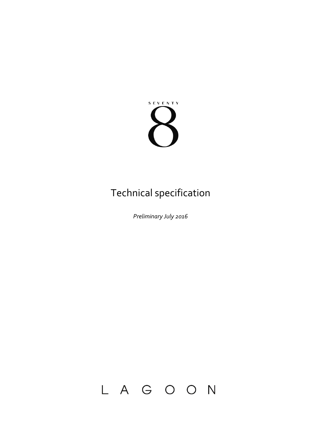

# Technical specification

*Preliminary July 2016*

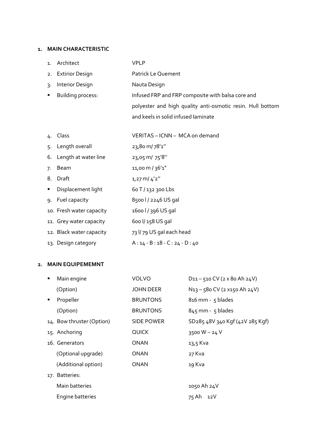#### **1. MAIN CHARACTERISTIC**

| $\mathbf{1}$ . | Architect                | <b>VPLP</b>                                                |
|----------------|--------------------------|------------------------------------------------------------|
| 2.             | <b>Extirior Design</b>   | Patrick Le Quement                                         |
| 3.             | Interior Design          | Nauta Design                                               |
| ٠              | <b>Building process:</b> | Infused FRP and FRP composite with balsa core and          |
|                |                          | polyester and high quality anti-osmotic resin. Hull bottom |
|                |                          | and keels in solid infused laminate                        |
|                |                          |                                                            |
| 4.             | Class                    | VERITAS - ICNN - MCA on demand                             |
| 5.             | Length overall           | 23,80 m/78'1"                                              |
| 6.             | Length at water line     | 23,05 m/ 75'8"                                             |
| 7.             | Beam                     | 11,00 m / 36'1"                                            |
| 8.             | Draft                    | $1,27$ m/ $4'2''$                                          |
| ٠              | Displacement light       | 60 T / 132 300 Lbs                                         |
| 9.             | Fuel capacity            | 8500 l / 2246 US gal                                       |
|                | 10. Fresh water capacity | 1600 l / 396 US gal                                        |
|                | 11. Grey water capacity  | 600 l/ 158 US gal                                          |
|                | 12. Black water capacity | 73 l/79 US gal each head                                   |
|                | 13. Design category      | $A: 14 - B: 18 - C: 24 - D: 40$                            |

# **2. MAIN EQUIPEMEMNT**

| п              | Main engine               | <b>VOLVO</b>     | $D_{11} - 510$ CV (2 x 80 Ah 24V)                    |
|----------------|---------------------------|------------------|------------------------------------------------------|
|                | (Option)                  | <b>JOHN DEER</b> | N <sub>13</sub> - 580 CV (2 x <sub>150</sub> Ah 24V) |
| $\blacksquare$ | Propeller                 | <b>BRUNTONS</b>  | $816$ mm - $5$ blades                                |
|                | (Option)                  | <b>BRUNTONS</b>  | $845$ mm - $5$ blades                                |
|                | 14. Bow thruster (Option) | SIDE POWER       | SD285 48V 340 Kgf (42V 285 Kgf)                      |
|                | 15. Anchoring             | <b>QUICK</b>     | 3500 $W - 24V$                                       |
|                | 16. Generators            | ONAN             | $13,5$ Kva                                           |
|                | (Optional upgrade)        | ONAN             | 27 Kva                                               |
|                | (Additional option)       | ONAN             | 19 Kva                                               |
|                | 17. Batteries:            |                  |                                                      |
|                | Main batteries            |                  | 1050 Ah 24V                                          |
|                | Engine batteries          |                  | 75 Ah<br>12 V                                        |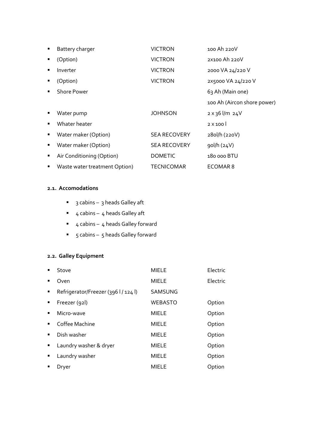| $\blacksquare$ | Battery charger               | <b>VICTRON</b>      | 100 Ah 220V                 |
|----------------|-------------------------------|---------------------|-----------------------------|
| п              | (Option)                      | <b>VICTRON</b>      | 2X100 Ah 220V               |
| п              | Inverter                      | <b>VICTRON</b>      | 2000 VA 24/220 V            |
| ٠              | (Option)                      | <b>VICTRON</b>      | 2X5000 VA 24/220 V          |
| ٠              | <b>Shore Power</b>            |                     | 63 Ah (Main one)            |
|                |                               |                     | 100 Ah (Aircon shore power) |
| п              | Water pump                    | JOHNSON             | $2 x 36$ $\frac{1}{m} 24V$  |
| ٠              | Whater heater                 |                     | $2 \times 100$              |
| ٠              | Water maker (Option)          | <b>SEA RECOVERY</b> | 280/h (220V)                |
| п              | Water maker (Option)          | <b>SEA RECOVERY</b> | gol/h(24V)                  |
| ٠              | Air Conditioning (Option)     | <b>DOMETIC</b>      | 180 000 BTU                 |
| ٠              | Waste water treatment Option) | TECNICOMAR          | ECOMAR 8                    |

# **2.1. Accomodations**

- 3 cabins 3 heads Galley aft
- $-4$  cabins 4 heads Galley aft
- 4 cabins 4 heads Galley forward
- 5 cabins 5 heads Galley forward

# **2.2. Galley Equipment**

| $\blacksquare$ | Stove                                | <b>MIELE</b>   | Electric |
|----------------|--------------------------------------|----------------|----------|
| $\blacksquare$ | Oven                                 | <b>MIELE</b>   | Electric |
| $\blacksquare$ | Refrigerator/Freezer (396 l / 124 l) | <b>SAMSUNG</b> |          |
| $\blacksquare$ | Freezer (92l)                        | <b>WEBASTO</b> | Option   |
| $\blacksquare$ | Micro-wave                           | <b>MIELE</b>   | Option   |
| $\blacksquare$ | Coffee Machine                       | <b>MIELE</b>   | Option   |
| $\blacksquare$ | Dish washer                          | <b>MIELE</b>   | Option   |
| п.             | Laundry washer & dryer               | <b>MIELE</b>   | Option   |
| ٠              | Laundry washer                       | <b>MIELE</b>   | Option   |
| $\blacksquare$ | Dryer                                | <b>MIELE</b>   | Option   |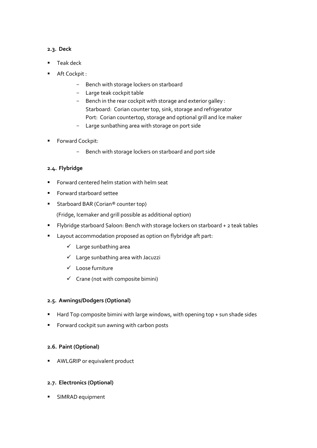# **2.3. Deck**

- Teak deck
- Aft Cockpit :
	- Bench with storage lockers on starboard
	- Large teak cockpit table
	- Bench in the rear cockpit with storage and exterior galley : Starboard: Corian counter top, sink, storage and refrigerator Port: Corian countertop, storage and optional grill and Ice maker
	- Large sunbathing area with storage on port side
- **Forward Cockpit:** 
	- Bench with storage lockers on starboard and port side

# **2.4. Flybridge**

- Forward centered helm station with helm seat
- Forward starboard settee
- Starboard BAR (Corian® counter top)

(Fridge, Icemaker and grill possible as additional option)

- Flybridge starboard Saloon: Bench with storage lockers on starboard + 2 teak tables
- **EXECOMMODATION PROPOSED AS OPTION OF THE PARTE** 
	- $\checkmark$  Large sunbathing area
	- $\checkmark$  Large sunbathing area with Jacuzzi
	- Loose furniture
	- $\checkmark$  Crane (not with composite bimini)

#### **2.5. Awnings/Dodgers (Optional)**

- Hard Top composite bimini with large windows, with opening top + sun shade sides
- **Forward cockpit sun awning with carbon posts**

#### **2.6. Paint (Optional)**

**AWLGRIP** or equivalent product

#### **2.7. Electronics (Optional)**

SIMRAD equipment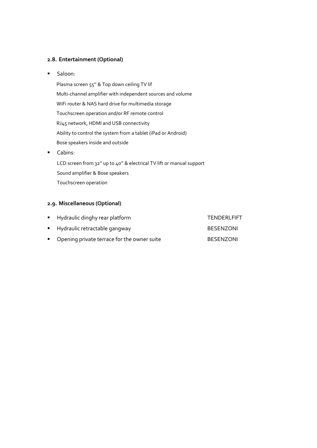#### **2.8. Entertainment (Optional)**

**Saloon:** 

Plasma screen 55'' & Top down ceiling TV lif Multi-channel amplifier with independent sources and volume WiFi router & NAS hard drive for multimedia storage Touchscreen operation and/or RF remote control RJ45 network, HDMI and USB connectivity Ability to control the system from a tablet (iPad or Android) Bose speakers inside and outside

**Cabins:** 

LCD screen from 32" up to 40" & electrical TV lift or manual support Sound amplifier & Bose speakers Touchscreen operation

# **2.9. Miscellaneous (Optional)**

| • Hydraulic dinghy rear platform              | TENDERLFIFT      |
|-----------------------------------------------|------------------|
| ■ Hydraulic retractable gangway               | <b>BESENZONI</b> |
| • Opening private terrace for the owner suite | <b>BESENZONI</b> |